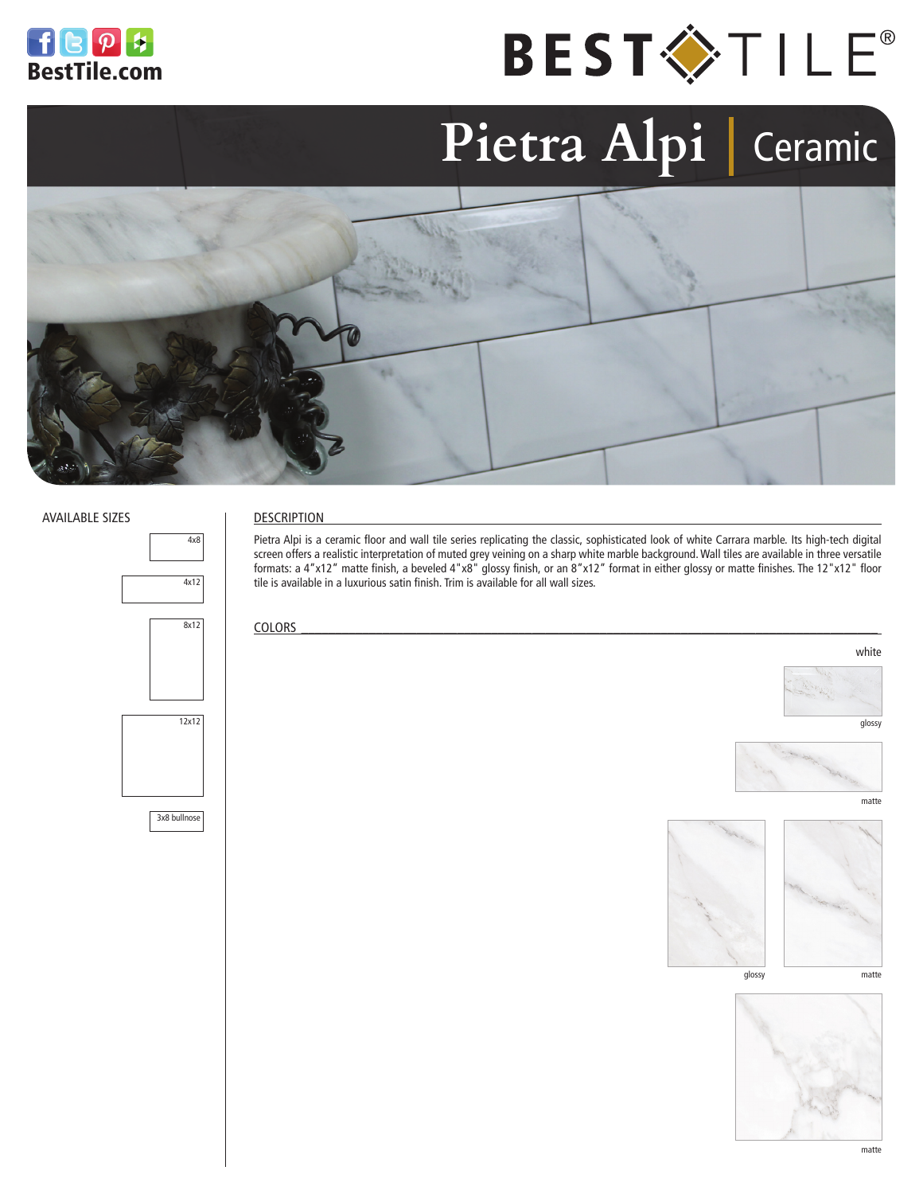



# Pietra Alpi | Ceramic



#### AVAILABLE SIZES



#### DESCRIPTION

Pietra Alpi is a ceramic floor and wall tile series replicating the classic, sophisticated look of white Carrara marble. Its high-tech digital screen offers a realistic interpretation of muted grey veining on a sharp white marble background. Wall tiles are available in three versatile formats: a 4"x12" matte finish, a beveled 4"x8" glossy finish, or an 8"x12" format in either glossy or matte finishes. The 12"x12" floor tile is available in a luxurious satin finish. Trim is available for all wall sizes.

 $\text{COLORS}$ 



glossy

white



matte